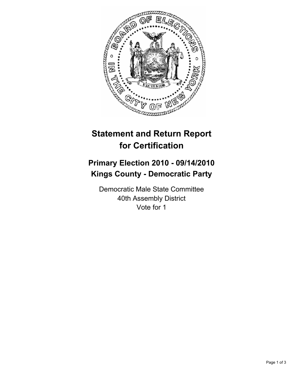

## **Statement and Return Report for Certification**

## **Primary Election 2010 - 09/14/2010 Kings County - Democratic Party**

Democratic Male State Committee 40th Assembly District Vote for 1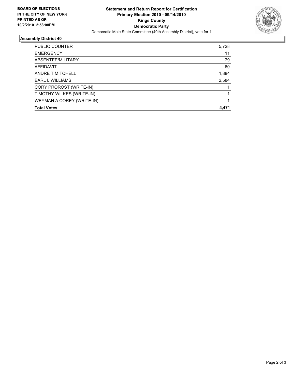

## **Assembly District 40**

| <b>Total Votes</b>        | 4.471 |
|---------------------------|-------|
| WEYMAN A COREY (WRITE-IN) |       |
| TIMOTHY WILKES (WRITE-IN) |       |
| CORY PROROST (WRITE-IN)   |       |
| <b>EARL L WILLIAMS</b>    | 2,584 |
| ANDRE T MITCHELL          | 1,884 |
| AFFIDAVIT                 | 60    |
| ABSENTEE/MILITARY         | 79    |
| <b>EMERGENCY</b>          | 11    |
| <b>PUBLIC COUNTER</b>     | 5,728 |